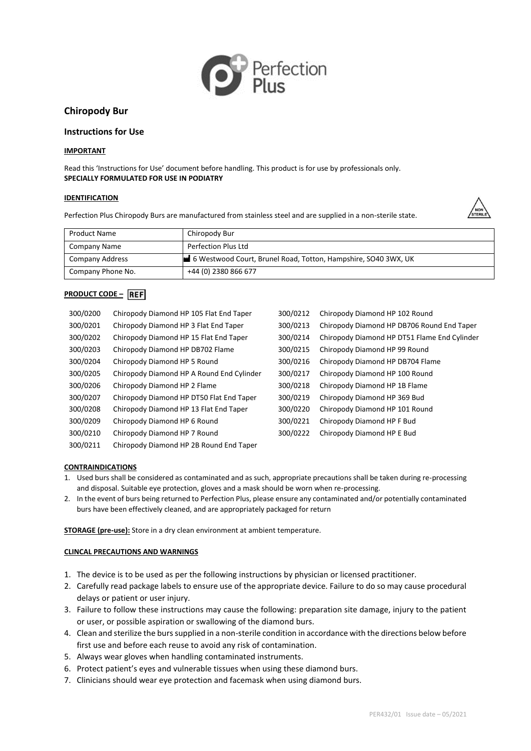

# **Chiropody Bur**

## **Instructions for Use**

## **IMPORTANT**

Read this 'Instructions for Use' document before handling. This product is for use by professionals only. **SPECIALLY FORMULATED FOR USE IN PODIATRY**

#### **IDENTIFICATION**

Perfection Plus Chiropody Burs are manufactured from stainless steel and are supplied in a non-sterile state.



| Product Name      | Chiropody Bur                                                  |
|-------------------|----------------------------------------------------------------|
| Company Name      | Perfection Plus Ltd                                            |
| Company Address   | 6 Westwood Court, Brunel Road, Totton, Hampshire, SO40 3WX, UK |
| Company Phone No. | +44 (0) 2380 866 677                                           |

## **PRODUCT CODE – REF**

| 300/0200 | Chiropody Diamond HP 105 Flat End Taper   | 300/0212 | Chiropody Diamond HP 102 Round               |
|----------|-------------------------------------------|----------|----------------------------------------------|
| 300/0201 | Chiropody Diamond HP 3 Flat End Taper     | 300/0213 | Chiropody Diamond HP DB706 Round End Taper   |
| 300/0202 | Chiropody Diamond HP 15 Flat End Taper    | 300/0214 | Chiropody Diamond HP DT51 Flame End Cylinder |
| 300/0203 | Chiropody Diamond HP DB702 Flame          | 300/0215 | Chiropody Diamond HP 99 Round                |
| 300/0204 | Chiropody Diamond HP 5 Round              | 300/0216 | Chiropody Diamond HP DB704 Flame             |
| 300/0205 | Chiropody Diamond HP A Round End Cylinder | 300/0217 | Chiropody Diamond HP 100 Round               |
| 300/0206 | Chiropody Diamond HP 2 Flame              | 300/0218 | Chiropody Diamond HP 1B Flame                |
| 300/0207 | Chiropody Diamond HP DT50 Flat End Taper  | 300/0219 | Chiropody Diamond HP 369 Bud                 |
| 300/0208 | Chiropody Diamond HP 13 Flat End Taper    | 300/0220 | Chiropody Diamond HP 101 Round               |
| 300/0209 | Chiropody Diamond HP 6 Round              | 300/0221 | Chiropody Diamond HP F Bud                   |
| 300/0210 | Chiropody Diamond HP 7 Round              | 300/0222 | Chiropody Diamond HP E Bud                   |
| 300/0211 | Chiropody Diamond HP 2B Round End Taper   |          |                                              |

## **CONTRAINDICATIONS**

- 1. Used burs shall be considered as contaminated and as such, appropriate precautions shall be taken during re-processing and disposal. Suitable eye protection, gloves and a mask should be worn when re-processing.
- 2. In the event of burs being returned to Perfection Plus, please ensure any contaminated and/or potentially contaminated burs have been effectively cleaned, and are appropriately packaged for return

**STORAGE (pre-use):** Store in a dry clean environment at ambient temperature.

## **CLINCAL PRECAUTIONS AND WARNINGS**

- 1. The device is to be used as per the following instructions by physician or licensed practitioner.
- 2. Carefully read package labels to ensure use of the appropriate device. Failure to do so may cause procedural delays or patient or user injury.
- 3. Failure to follow these instructions may cause the following: preparation site damage, injury to the patient or user, or possible aspiration or swallowing of the diamond burs.
- 4. Clean and sterilize the burs supplied in a non-sterile condition in accordance with the directions below before first use and before each reuse to avoid any risk of contamination.
- 5. Always wear gloves when handling contaminated instruments.
- 6. Protect patient's eyes and vulnerable tissues when using these diamond burs.
- 7. Clinicians should wear eye protection and facemask when using diamond burs.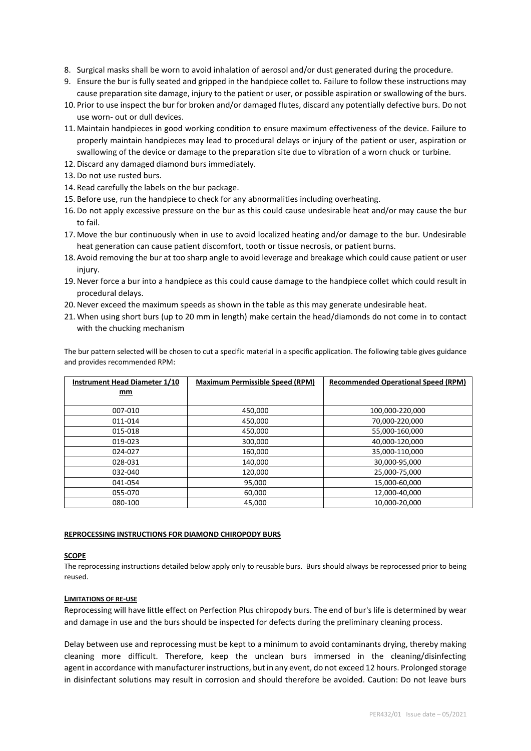- 8. Surgical masks shall be worn to avoid inhalation of aerosol and/or dust generated during the procedure.
- 9. Ensure the bur is fully seated and gripped in the handpiece collet to. Failure to follow these instructions may cause preparation site damage, injury to the patient or user, or possible aspiration or swallowing of the burs.
- 10. Prior to use inspect the bur for broken and/or damaged flutes, discard any potentially defective burs. Do not use worn- out or dull devices.
- 11. Maintain handpieces in good working condition to ensure maximum effectiveness of the device. Failure to properly maintain handpieces may lead to procedural delays or injury of the patient or user, aspiration or swallowing of the device or damage to the preparation site due to vibration of a worn chuck or turbine.
- 12. Discard any damaged diamond burs immediately.
- 13. Do not use rusted burs.
- 14. Read carefully the labels on the bur package.
- 15. Before use, run the handpiece to check for any abnormalities including overheating.
- 16. Do not apply excessive pressure on the bur as this could cause undesirable heat and/or may cause the bur to fail.
- 17. Move the bur continuously when in use to avoid localized heating and/or damage to the bur. Undesirable heat generation can cause patient discomfort, tooth or tissue necrosis, or patient burns.
- 18. Avoid removing the bur at too sharp angle to avoid leverage and breakage which could cause patient or user injury.
- 19.Never force a bur into a handpiece as this could cause damage to the handpiece collet which could result in procedural delays.
- 20.Never exceed the maximum speeds as shown in the table as this may generate undesirable heat.
- 21. When using short burs (up to 20 mm in length) make certain the head/diamonds do not come in to contact with the chucking mechanism

The bur pattern selected will be chosen to cut a specific material in a specific application. The following table gives guidance and provides recommended RPM:

| Instrument Head Diameter 1/10 | <b>Maximum Permissible Speed (RPM)</b> | <b>Recommended Operational Speed (RPM)</b> |  |
|-------------------------------|----------------------------------------|--------------------------------------------|--|
| mm                            |                                        |                                            |  |
|                               |                                        |                                            |  |
| 007-010                       | 450,000                                | 100,000-220,000                            |  |
| 011-014                       | 450,000                                | 70,000-220,000                             |  |
| 015-018                       | 450,000                                | 55.000-160.000                             |  |
| 019-023                       | 300,000                                | 40,000-120,000                             |  |
| 024-027                       | 160,000                                | 35,000-110,000                             |  |
| 028-031                       | 140,000                                | 30,000-95,000                              |  |
| 032-040                       | 120,000                                | 25,000-75,000                              |  |
| 041-054                       | 95,000                                 | 15,000-60,000                              |  |
| 055-070                       | 60,000                                 | 12,000-40,000                              |  |
| 080-100                       | 45,000                                 | 10,000-20,000                              |  |

#### **REPROCESSING INSTRUCTIONS FOR DIAMOND CHIROPODY BURS**

# **SCOPE**

The reprocessing instructions detailed below apply only to reusable burs. Burs should always be reprocessed prior to being reused.

## **LIMITATIONS OF RE-USE**

Reprocessing will have little effect on Perfection Plus chiropody burs. The end of bur's life is determined by wear and damage in use and the burs should be inspected for defects during the preliminary cleaning process.

Delay between use and reprocessing must be kept to a minimum to avoid contaminants drying, thereby making cleaning more difficult. Therefore, keep the unclean burs immersed in the cleaning/disinfecting agent in accordance with manufacturer instructions, but in any event, do not exceed 12 hours. Prolonged storage in disinfectant solutions may result in corrosion and should therefore be avoided. Caution: Do not leave burs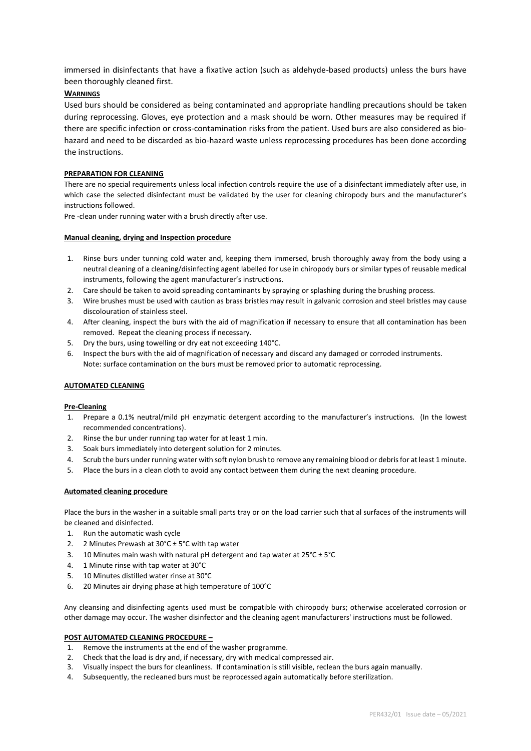immersed in disinfectants that have a fixative action (such as aldehyde-based products) unless the burs have been thoroughly cleaned first.

## **WARNINGS**

Used burs should be considered as being contaminated and appropriate handling precautions should be taken during reprocessing. Gloves, eye protection and a mask should be worn. Other measures may be required if there are specific infection or cross-contamination risks from the patient. Used burs are also considered as biohazard and need to be discarded as bio-hazard waste unless reprocessing procedures has been done according the instructions.

## **PREPARATION FOR CLEANING**

There are no special requirements unless local infection controls require the use of a disinfectant immediately after use, in which case the selected disinfectant must be validated by the user for cleaning chiropody burs and the manufacturer's instructions followed.

Pre -clean under running water with a brush directly after use.

## **Manual cleaning, drying and Inspection procedure**

- 1. Rinse burs under tunning cold water and, keeping them immersed, brush thoroughly away from the body using a neutral cleaning of a cleaning/disinfecting agent labelled for use in chiropody burs or similar types of reusable medical instruments, following the agent manufacturer's instructions.
- 2. Care should be taken to avoid spreading contaminants by spraying or splashing during the brushing process.
- 3. Wire brushes must be used with caution as brass bristles may result in galvanic corrosion and steel bristles may cause discolouration of stainless steel.
- 4. After cleaning, inspect the burs with the aid of magnification if necessary to ensure that all contamination has been removed. Repeat the cleaning process if necessary.
- 5. Dry the burs, using towelling or dry eat not exceeding 140°C.
- 6. Inspect the burs with the aid of magnification of necessary and discard any damaged or corroded instruments. Note: surface contamination on the burs must be removed prior to automatic reprocessing.

## **AUTOMATED CLEANING**

## **Pre-Cleaning**

- 1. Prepare a 0.1% neutral/mild pH enzymatic detergent according to the manufacturer's instructions. (In the lowest recommended concentrations).
- 2. Rinse the bur under running tap water for at least 1 min.
- 3. Soak burs immediately into detergent solution for 2 minutes.
- 4. Scrub the burs under running water with soft nylon brush to remove any remaining blood or debris for at least 1 minute.
- 5. Place the burs in a clean cloth to avoid any contact between them during the next cleaning procedure.

## **Automated cleaning procedure**

Place the burs in the washer in a suitable small parts tray or on the load carrier such that al surfaces of the instruments will be cleaned and disinfected.

- 1. Run the automatic wash cycle
- 2. 2 Minutes Prewash at  $30^{\circ}$ C ± 5°C with tap water
- 3. 10 Minutes main wash with natural pH detergent and tap water at 25°C ± 5°C
- 4. 1 Minute rinse with tap water at 30°C
- 5. 10 Minutes distilled water rinse at 30°C
- 6. 20 Minutes air drying phase at high temperature of 100°C

Any cleansing and disinfecting agents used must be compatible with chiropody burs; otherwise accelerated corrosion or other damage may occur. The washer disinfector and the cleaning agent manufacturers' instructions must be followed.

#### **POST AUTOMATED CLEANING PROCEDURE –**

- 1. Remove the instruments at the end of the washer programme.
- 2. Check that the load is dry and, if necessary, dry with medical compressed air.
- 3. Visually inspect the burs for cleanliness. If contamination is still visible, reclean the burs again manually.
- 4. Subsequently, the recleaned burs must be reprocessed again automatically before sterilization.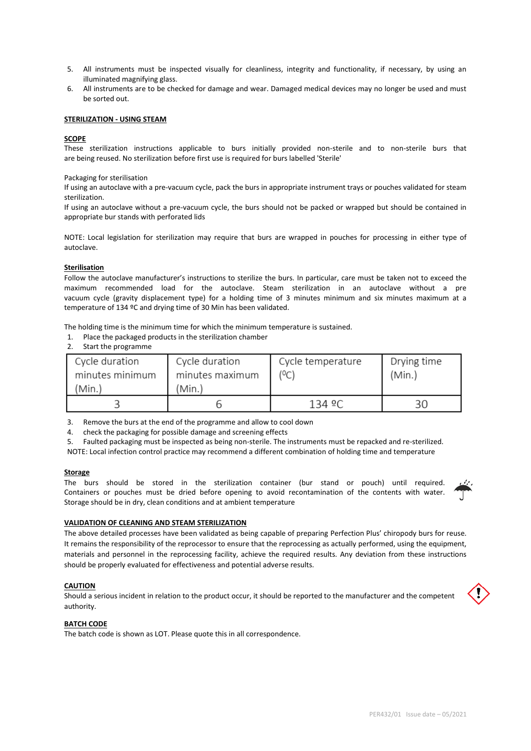- 5. All instruments must be inspected visually for cleanliness, integrity and functionality, if necessary, by using an illuminated magnifying glass.
- 6. All instruments are to be checked for damage and wear. Damaged medical devices may no longer be used and must be sorted out.

#### **STERILIZATION - USING STEAM**

## **SCOPE**

These sterilization instructions applicable to burs initially provided non-sterile and to non-sterile burs that are being reused. No sterilization before first use is required for burs labelled 'Sterile'

Packaging for sterilisation

If using an autoclave with a pre-vacuum cycle, pack the burs in appropriate instrument trays or pouches validated for steam sterilization.

If using an autoclave without a pre-vacuum cycle, the burs should not be packed or wrapped but should be contained in appropriate bur stands with perforated lids

NOTE: Local legislation for sterilization may require that burs are wrapped in pouches for processing in either type of autoclave.

#### **Sterilisation**

Follow the autoclave manufacturer's instructions to sterilize the burs. In particular, care must be taken not to exceed the maximum recommended load for the autoclave. Steam sterilization in an autoclave without a pre vacuum cycle (gravity displacement type) for a holding time of 3 minutes minimum and six minutes maximum at a temperature of 134 ºC and drying time of 30 Min has been validated.

The holding time is the minimum time for which the minimum temperature is sustained.

- 1. Place the packaged products in the sterilization chamber
- 2. Start the programme

| Cycle duration<br>minutes minimum<br>'Min.) | Cycle duration<br>minutes maximum<br>(Min.) | Cycle temperature<br>(°C) | Drying time<br>(Min.) |
|---------------------------------------------|---------------------------------------------|---------------------------|-----------------------|
|                                             |                                             | 134 ºC                    |                       |

3. Remove the burs at the end of the programme and allow to cool down

4. check the packaging for possible damage and screening effects

5. Faulted packaging must be inspected as being non-sterile. The instruments must be repacked and re-sterilized.

NOTE: Local infection control practice may recommend a different combination of holding time and temperature

#### **Storage**

The burs should be stored in the sterilization container (bur stand or pouch) until required. Containers or pouches must be dried before opening to avoid recontamination of the contents with water. Storage should be in dry, clean conditions and at ambient temperature



#### **VALIDATION OF CLEANING AND STEAM STERILIZATION**

The above detailed processes have been validated as being capable of preparing Perfection Plus' chiropody burs for reuse. It remains the responsibility of the reprocessor to ensure that the reprocessing as actually performed, using the equipment, materials and personnel in the reprocessing facility, achieve the required results. Any deviation from these instructions should be properly evaluated for effectiveness and potential adverse results.

#### **CAUTION**

Should a serious incident in relation to the product occur, it should be reported to the manufacturer and the competent authority.



#### **BATCH CODE**

The batch code is shown as LOT. Please quote this in all correspondence.